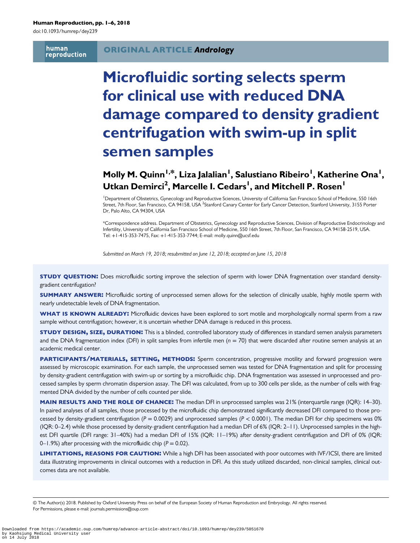doi:10.1093/humrep/dey239

human reproduction

#### ORIGINAL ARTICLE Andrology

# Microfluidic sorting selects sperm for clinical use with reduced DNA damage compared to density gradient centrifugation with swim-up in split semen samples

## Molly M. Quinn<sup>1,\*</sup>, Liza Jalalian<sup>1</sup>, Salustiano Ribeiro<sup>1</sup>, Katherine Ona<sup>1</sup>, Utkan Demirci<sup>2</sup>, Marcelle I. Cedars<sup>I</sup>, and Mitchell P. Rosen<sup>I</sup>

<sup>1</sup> Department of Obstetrics, Gynecology and Reproductive Sciences, University of California San Francisco School of Medicine, 550 16th Street, 7th Floor, San Francisco, CA 94158, USA <sup>2</sup>Stanford Canary Center for Early Cancer Detection, Stanford University, 3155 Porter Dr, Palo Alto, CA 94304, USA

\*Correspondence address. Department of Obstetrics, Gynecology and Reproductive Sciences, Division of Reproductive Endocrinology and Infertility, University of California San Francisco School of Medicine, 550 16th Street, 7th Floor, San Francisco, CA 94158-2519, USA. Tel: +1-415-353-7475, Fax: +1-415-353-7744; E-mail: molly.quinn@ucsf.edu

Submitted on March 19, 2018; resubmitted on June 12, 2018; accepted on June 15, 2018

STUDY QUESTION: Does microfluidic sorting improve the selection of sperm with lower DNA fragmentation over standard densitygradient centrifugation?

**SUMMARY ANSWER:** Microfluidic sorting of unprocessed semen allows for the selection of clinically usable, highly motile sperm with nearly undetectable levels of DNA fragmentation.

WHAT IS KNOWN ALREADY: Microfluidic devices have been explored to sort motile and morphologically normal sperm from a raw sample without centrifugation; however, it is uncertain whether DNA damage is reduced in this process.

STUDY DESIGN, SIZE, DURATION: This is a blinded, controlled laboratory study of differences in standard semen analysis parameters and the DNA fragmentation index (DFI) in split samples from infertile men ( $n = 70$ ) that were discarded after routine semen analysis at an academic medical center.

PARTICIPANTS/MATERIALS, SETTING, METHODS: Sperm concentration, progressive motility and forward progression were assessed by microscopic examination. For each sample, the unprocessed semen was tested for DNA fragmentation and split for processing by density-gradient centrifugation with swim-up or sorting by a microfluidic chip. DNA fragmentation was assessed in unprocessed and processed samples by sperm chromatin dispersion assay. The DFI was calculated, from up to 300 cells per slide, as the number of cells with fragmented DNA divided by the number of cells counted per slide.

MAIN RESULTS AND THE ROLE OF CHANCE: The median DFI in unprocessed samples was 21% (interquartile range (IQR): 14–30). In paired analyses of all samples, those processed by the microfluidic chip demonstrated significantly decreased DFI compared to those processed by density-gradient centrifugation ( $P = 0.0029$ ) and unprocessed samples ( $P < 0.0001$ ). The median DFI for chip specimens was 0% (IQR: 0–2.4) while those processed by density-gradient centrifugation had a median DFI of 6% (IQR: 2–11). Unprocessed samples in the highest DFI quartile (DFI range: 31–40%) had a median DFI of 15% (IQR: 11–19%) after density-gradient centrifugation and DFI of 0% (IQR: 0–1.9%) after processing with the microfluidic chip  $(P = 0.02)$ .

LIMITATIONS, REASONS FOR CAUTION: While a high DFI has been associated with poor outcomes with IVF/ICSI, there are limited data illustrating improvements in clinical outcomes with a reduction in DFI. As this study utilized discarded, non-clinical samples, clinical outcomes data are not available.

© The Author(s) 2018. Published by Oxford University Press on behalf of the European Society of Human Reproduction and Embryology. All rights reserved. For Permissions, please e-mail: journals.permissions@oup.com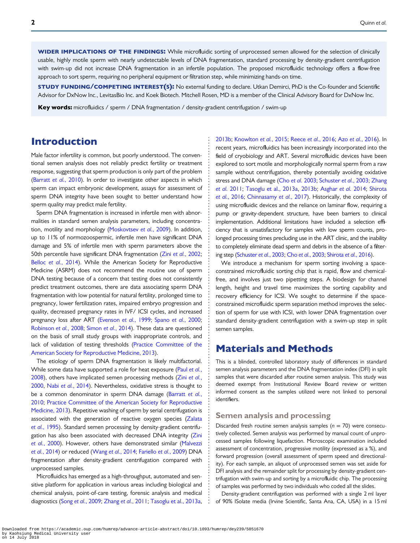WIDER IMPLICATIONS OF THE FINDINGS: While microfluidic sorting of unprocessed semen allowed for the selection of clinically usable, highly motile sperm with nearly undetectable levels of DNA fragmentation, standard processing by density-gradient centrifugation with swim-up did not increase DNA fragmentation in an infertile population. The proposed microfluidic technology offers a flow-free approach to sort sperm, requiring no peripheral equipment or filtration step, while minimizing hands-on time.

STUDY FUNDING/COMPETING INTEREST(S): No external funding to declare. Utkan Demirci, PhD is the Co-founder and Scientific Advisor for DxNow Inc., LevitasBio Inc. and Koek Biotech. Mitchell Rosen, MD is a member of the Clinical Advisory Board for DxNow Inc.

Key words: microfluidics / sperm / DNA fragmentation / density-gradient centrifugation / swim-up

### Introduction

Male factor infertility is common, but poorly understood. The conventional semen analysis does not reliably predict fertility or treatment response, suggesting that sperm production is only part of the problem [\(Barratt](#page-4-0) et al., 2010). In order to investigate other aspects in which sperm can impact embryonic development, assays for assessment of sperm DNA integrity have been sought to better understand how sperm quality may predict male fertility.

Sperm DNA fragmentation is increased in infertile men with abnormalities in standard semen analysis parameters, including concentration, motility and morphology [\(Moskovtsev](#page-5-0) et al., 2009). In addition, up to 11% of normozoospermic, infertile men have significant DNA damage and 5% of infertile men with sperm parameters above the 50th percentile have significant DNA fragmentation (Zini et al.[, 2002;](#page-5-0) Belloc et al.[, 2014\)](#page-4-0). While the American Society for Reproductive Medicine (ASRM) does not recommend the routine use of sperm DNA testing because of a concern that testing does not consistently predict treatment outcomes, there are data associating sperm DNA fragmentation with low potential for natural fertility, prolonged time to pregnancy, lower fertilization rates, impaired embryo progression and quality, decreased pregnancy rates in IVF/ ICSI cycles, and increased pregnancy loss after ART [\(Evenson](#page-5-0) et al., 1999; Spano et al.[, 2000;](#page-5-0) [Robinson](#page-5-0) et al., 2008; Simon et al.[, 2014](#page-5-0)). These data are questioned on the basis of small study groups with inappropriate controls, and lack of validation of testing thresholds ([Practice Committee of the](#page-5-0) [American Society for Reproductive Medicine, 2013\)](#page-5-0).

The etiology of sperm DNA fragmentation is likely multifactorial. While some data have supported a role for heat exposure (Paul [et al.](#page-5-0), [2008](#page-5-0)), others have implicated semen processing methods (Zini [et al.](#page-5-0), [2000](#page-5-0), Nabi et al.[, 2014\)](#page-5-0). Nevertheless, oxidative stress is thought to be a common denominator in sperm DNA damage ([Barratt](#page-4-0) et al., [2010](#page-4-0); [Practice Committee of the American Society for Reproductive](#page-5-0) [Medicine, 2013\)](#page-5-0). Repetitive washing of sperm by serial centrifugation is associated with the generation of reactive oxygen species ([Zalata](#page-5-0) et al.[, 1995\)](#page-5-0). Standard semen processing by density-gradient centrifugation has also been associated with decreased DNA integrity [\(Zini](#page-5-0) et al.[, 2000](#page-5-0)). However, others have demonstrated similar ([Malvezzi](#page-5-0) et al.[, 2014\)](#page-5-0) or reduced (Wang et al.[, 2014;](#page-5-0) [Fariello](#page-5-0) et al., 2009) DNA fragmentation after density-gradient centrifugation compared with unprocessed samples.

Microfluidics has emerged as a high-throughput, automated and sensitive platform for application in various areas including biological and chemical analysis, point-of-care testing, forensic analysis and medical diagnostics (Song et al.[, 2009](#page-5-0); Zhang et al.[, 2011](#page-5-0); [Tasoglu et al., 2013a,](#page-5-0)

[2013b](#page-5-0); [Knowlton](#page-5-0) et al., 2015; Reece et al.[, 2016](#page-5-0); Azo et al.[, 2016\)](#page-4-0). In recent years, microfluidics has been increasingly incorporated into the field of cryobiology and ART. Several microfluidic devices have been explored to sort motile and morphologically normal sperm from a raw sample without centrifugation, thereby potentially avoiding oxidative stress and DNA damage (Cho et al. [2003](#page-5-0); [Schuster](#page-5-0) et al., 2003; [Zhang](#page-5-0) et al. [2011](#page-5-0); [Tasoglu et al., 2013a](#page-5-0), [2013b](#page-5-0); [Asghar](#page-4-0) et al. 2014; [Shirota](#page-5-0) et al.[, 2016](#page-5-0); [Chinnasamy](#page-5-0) et al., 2017). Historically, the complexity of using microfluidic devices and the reliance on laminar flow, requiring a pump or gravity-dependent structure, have been barriers to clinical implementation. Additional limitations have included a selection efficiency that is unsatisfactory for samples with low sperm counts, prolonged processing times precluding use in the ART clinic, and the inability to completely eliminate dead sperm and debris in the absence of a filtering step ([Schuster](#page-5-0) et al., 2003; Cho et al.[, 2003](#page-5-0); [Shirota](#page-5-0) et al., 2016).

We introduce a mechanism for sperm sorting involving a spaceconstrained microfluidic sorting chip that is rapid, flow and chemicalfree, and involves just two pipetting steps. A biodesign for channel length, height and travel time maximizes the sorting capability and recovery efficiency for ICSI. We sought to determine if the spaceconstrained microfluidic sperm separation method improves the selection of sperm for use with ICSI, with lower DNA fragmentation over standard density-gradient centrifugation with a swim-up step in split semen samples.

### Materials and Methods

This is a blinded, controlled laboratory study of differences in standard semen analysis parameters and the DNA fragmentation index (DFI) in split samples that were discarded after routine semen analysis. This study was deemed exempt from Institutional Review Board review or written informed consent as the samples utilized were not linked to personal identifiers.

#### Semen analysis and processing

Discarded fresh routine semen analysis samples ( $n = 70$ ) were consecutively collected. Semen analysis was performed by manual count of unprocessed samples following liquefaction. Microscopic examination included assessment of concentration, progressive motility (expressed as a %), and forward progression (overall assessment of sperm speed and directionality). For each sample, an aliquot of unprocessed semen was set aside for DFI analysis and the remainder split for processing by density-gradient centrifugation with swim-up and sorting by a microfluidic chip. The processing of samples was performed by two individuals who coded all the slides.

Density-gradient centrifugation was performed with a single 2 ml layer of 90% ISolate media (Irvine Scientific, Santa Ana, CA, USA) in a 15 ml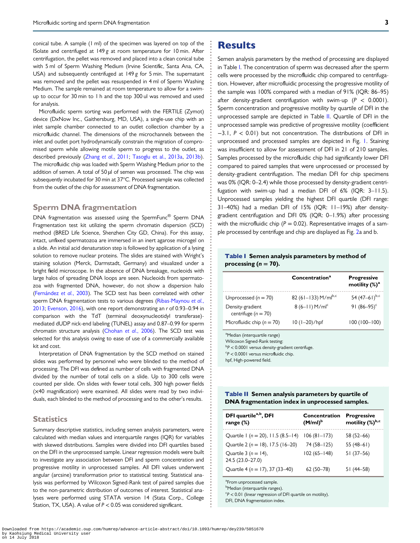conical tube. A sample (1 ml) of the specimen was layered on top of the ISolate and centrifuged at 149 g at room temperature for 10 min. After centrifugation, the pellet was removed and placed into a clean conical tube with 5 ml of Sperm Washing Medium (Irvine Scientific, Santa Ana, CA, USA) and subsequently centrifuged at 149 g for 5 min. The supernatant was removed and the pellet was resuspended in 4 ml of Sperm Washing Medium. The sample remained at room temperature to allow for a swimup to occur for 30 min to 1 h and the top 300 ul was removed and used for analysis.

Microfluidic sperm sorting was performed with the FERTILE (Zymot) device (DxNow Inc., Gaithersburg, MD, USA), a single-use chip with an inlet sample chamber connected to an outlet collection chamber by a microfluidic channel. The dimensions of the microchannels between the inlet and outlet port hydrodynamically constrain the migration of compromised sperm while allowing motile sperm to progress to the outlet, as described previously (Zhang et al.[, 2011;](#page-5-0) [Tasoglu et al., 2013a](#page-5-0), [2013b\)](#page-5-0). The microfluidic chip was loaded with Sperm Washing Medium prior to the addition of semen. A total of 50 µl of semen was processed. The chip was subsequently incubated for 30 min at 37°C. Processed sample was collected from the outlet of the chip for assessment of DNA fragmentation.

#### Sperm DNA fragmentation

DNA fragmentation was assessed using the SpermFunc® Sperm DNA Fragmentation test kit utilizing the sperm chromatin dispersion (SCD) method (BRED Life Science, Shenzhen City GD, China). For this assay, intact, unfixed spermatozoa are immersed in an inert agarose microgel on a slide. An initial acid denaturation step is followed by application of a lysing solution to remove nuclear proteins. The slides are stained with Wright's staining solution (Merck, Darmstadt, Germany) and visualized under a bright field microscope. In the absence of DNA breakage, nucleoids with large halos of spreading DNA loops are seen. Nucleoids from spermatozoa with fragmented DNA, however, do not show a dispersion halo ([Fernández](#page-5-0) et al., 2003). The SCD test has been correlated with other sperm DNA fragmentation tests to various degrees [\(Ribas-Maynou](#page-5-0) et al., [2013](#page-5-0); [Evenson, 2016\)](#page-5-0), with one report demonstrating an r of 0.93–0.94 in comparison with the TdT (terminal deoxynucleotidyl transferase) mediated dUDP nick-end labeling (TUNEL) assay and 0.87–0.99 for sperm chromatin structure analysis [\(Chohan](#page-5-0) et al., 2006). The SCD test was selected for this analysis owing to ease of use of a commercially available kit and cost.

Interpretation of DNA fragmentation by the SCD method on stained slides was performed by personnel who were blinded to the method of processing. The DFI was defined as number of cells with fragmented DNA divided by the number of total cells on a slide. Up to 300 cells were counted per slide. On slides with fewer total cells, 300 high power fields (×40 magnification) were examined. All slides were read by two individuals, each blinded to the method of processing and to the other's results.

#### **Statistics**

Summary descriptive statistics, including semen analysis parameters, were calculated with median values and interquartile ranges (IQR) for variables with skewed distributions. Samples were divided into DFI quartiles based on the DFI in the unprocessed sample. Linear regression models were built to investigate any association between DFI and sperm concentration and progressive motility in unprocessed samples. All DFI values underwent angular (arcsine) transformation prior to statistical testing. Statistical analysis was performed by Wilcoxon Signed-Rank test of paired samples due to the non-parametric distribution of outcomes of interest. Statistical analyses were performed using STATA version 14 (Stata Corp., College Station, TX, USA). A value of  $P < 0.05$  was considered significant.

### **Results**

Semen analysis parameters by the method of processing are displayed in Table I. The concentration of sperm was decreased after the sperm cells were processed by the microfluidic chip compared to centrifugation. However, after microfluidic processing the progressive motility of the sample was 100% compared with a median of 91% (IQR: 86–95) after density-gradient centrifugation with swim-up  $(P < 0.0001)$ . Sperm concentration and progressive motility by quartile of DFI in the unprocessed sample are depicted in Table II. Quartile of DFI in the unprocessed sample was predictive of progressive motility (coefficient −3.1, P < 0.01) but not concentration. The distributions of DFI in unprocessed and processed samples are depicted in Fig. [1](#page-3-0). Staining was insufficient to allow for assessment of DFI in 21 of 210 samples. Samples processed by the microfluidic chip had significantly lower DFI compared to paired samples that were unprocessed or processed by density-gradient centrifugation. The median DFI for chip specimens was 0% (IQR: 0–2.4) while those processed by density-gradient centrifugation with swim-up had a median DFI of 6% (IQR: 3–11.5). Unprocessed samples yielding the highest DFI quartile (DFI range: 31–40%) had a median DFI of 15% (IQR: 11–19%) after densitygradient centrifugation and DFI 0% (IQR: 0–1.9%) after processing with the microfluidic chip ( $P = 0.02$ ). Representative images of a sample processed by centrifuge and chip are displayed as Fig. [2a](#page-3-0) and b.

#### Table I Semen analysis parameters by method of processing  $(n = 70)$ .

|                                                                                           | Concentration <sup>a</sup>  | <b>Progressive</b><br>motility $(\%)^a$ |
|-------------------------------------------------------------------------------------------|-----------------------------|-----------------------------------------|
| Unprocessed $(n = 70)$                                                                    | 82 (61–133) M/ml $^{b,c}$   | 54 $(47-61)^{b,c}$                      |
| Density-gradient<br>centrifuge $(n = 70)$                                                 | $8(6-11)$ M/ml <sup>c</sup> | 91 $(86 - 95)^c$                        |
| Microfluidic chip ( $n = 70$ )                                                            | $10(1-20)/hpf$              | $100(100 - 100)$                        |
| <sup>a</sup> Median (interquartile range)<br>$\sim$ $\sim$ $\sim$ $\sim$ $\sim$<br>1.4.11 |                             |                                         |

Wilcoxon Signed-Rank testing:

 $\rm ^{b}P$  < 0.0001 versus density-gradient centrifuge.

 $c^2P < 0.0001$  versus microfluidic chip.

hpf, High-powered field.

| <b>Table II</b> Semen analysis parameters by quartile of |  |
|----------------------------------------------------------|--|
| DNA fragmentation index in unprocessed samples.          |  |

| DFI quartile <sup>a,b</sup> , DFI<br>range $(\%)$ | Concentration<br>$(M/ml)^b$ | <b>Progressive</b><br>motility (%)b,c |
|---------------------------------------------------|-----------------------------|---------------------------------------|
| Quartile $1 (n = 20)$ , $11.5 (8.5-14)$           | $106(81-173)$               | $58(52 - 66)$                         |
| Quartile 2 ( $n = 18$ ), 17.5 (16-20)             | 74 (58-125)                 | 55 $(48-61)$                          |
| Quartile 3 ( $n = 14$ ),<br>24.5 (23.0-27.0)      | $102(65 - 148)$             | $51(37-56)$                           |
| Quartile 4 ( $n = 17$ ), 37 (33-40)               | $62(50-78)$                 | $51(44-58)$                           |

<sup>a</sup> From unprocessed sample.

**b**Median (interquartile ranges).

 $\mathrm{c}_P$  < 0.01 (linear regression of DFI quartile on motility).

DFI, DNA fragmentation index.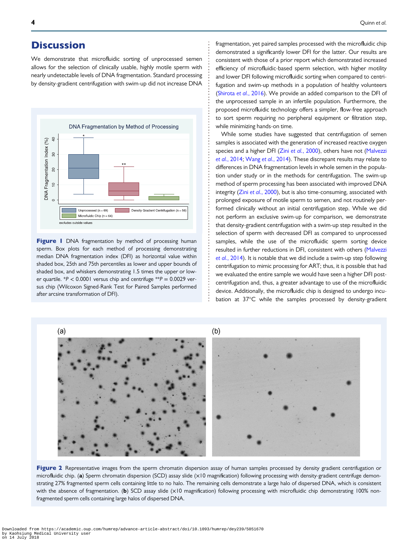### <span id="page-3-0"></span>**Discussion**

We demonstrate that microfluidic sorting of unprocessed semen allows for the selection of clinically usable, highly motile sperm with nearly undetectable levels of DNA fragmentation. Standard processing by density-gradient centrifugation with swim-up did not increase DNA



Figure I DNA fragmentation by method of processing human sperm. Box plots for each method of processing demonstrating median DNA fragmentation index (DFI) as horizontal value within shaded box, 25th and 75th percentiles as lower and upper bounds of shaded box, and whiskers demonstrating 1.5 times the upper or lower quartile.  $*P < 0.0001$  versus chip and centrifuge  $*P = 0.0029$  versus chip (Wilcoxon Signed-Rank Test for Paired Samples performed after arcsine transformation of DFI).

fragmentation, yet paired samples processed with the microfluidic chip demonstrated a significantly lower DFI for the latter. Our results are consistent with those of a prior report which demonstrated increased efficiency of microfluidic-based sperm selection, with higher motility and lower DFI following microfluidic sorting when compared to centrifugation and swim-up methods in a population of healthy volunteers ([Shirota](#page-5-0) et al., 2016). We provide an added comparison to the DFI of the unprocessed sample in an infertile population. Furthermore, the proposed microfluidic technology offers a simpler, flow-free approach to sort sperm requiring no peripheral equipment or filtration step, while minimizing hands-on time.

While some studies have suggested that centrifugation of semen samples is associated with the generation of increased reactive oxygen species and a higher DFI (Zini et al.[, 2000](#page-5-0)), others have not [\(Malvezzi](#page-5-0) et al.[, 2014;](#page-5-0) Wang et al.[, 2014](#page-5-0)). These discrepant results may relate to differences in DNA fragmentation levels in whole semen in the population under study or in the methods for centrifugation. The swim-up method of sperm processing has been associated with improved DNA integrity (Zini et al.[, 2000\)](#page-5-0), but is also time-consuming, associated with prolonged exposure of motile sperm to semen, and not routinely performed clinically without an initial centrifugation step. While we did not perform an exclusive swim-up for comparison, we demonstrate that density-gradient centrifugation with a swim-up step resulted in the selection of sperm with decreased DFI as compared to unprocessed samples, while the use of the microfluidic sperm sorting device resulted in further reductions in DFI, consistent with others [\(Malvezzi](#page-5-0) et al.[, 2014](#page-5-0)). It is notable that we did include a swim-up step following centrifugation to mimic processing for ART; thus, it is possible that had we evaluated the entire sample we would have seen a higher DFI postcentrifugation and, thus, a greater advantage to use of the microfluidic device. Additionally, the microfluidic chip is designed to undergo incubation at 37°C while the samples processed by density-gradient



Figure 2 Representative images from the sperm chromatin dispersion assay of human samples processed by density gradient centrifugation or microfluidic chip. (a) Sperm chromatin dispersion (SCD) assay slide (×10 magnification) following processing with density-gradient centrifuge demonstrating 27% fragmented sperm cells containing little to no halo. The remaining cells demonstrate a large halo of dispersed DNA, which is consistent with the absence of fragmentation. (b) SCD assay slide (×10 magnification) following processing with microfluidic chip demonstrating 100% nonfragmented sperm cells containing large halos of dispersed DNA.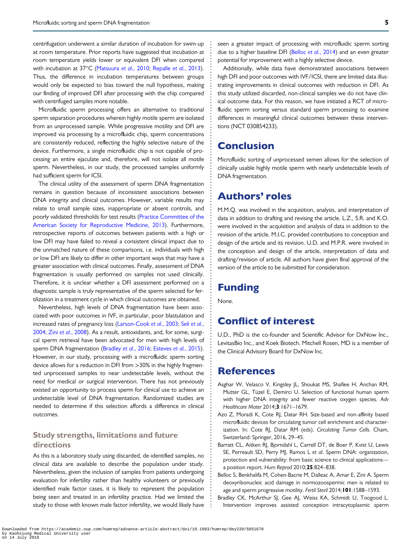<span id="page-4-0"></span>centrifugation underwent a similar duration of incubation for swim-up at room temperature. Prior reports have suggested that incubation at room temperature yields lower or equivalent DFI when compared with incubation at 37°C ([Matsuura](#page-5-0) et al., 2010; [Repalle](#page-5-0) et al., 2013). Thus, the difference in incubation temperatures between groups would only be expected to bias toward the null hypothesis, making our finding of improved DFI after processing with the chip compared with centrifuged samples more notable.

Microfluidic sperm processing offers an alternative to traditional sperm separation procedures wherein highly motile sperm are isolated from an unprocessed sample. While progressive motility and DFI are improved via processing by a microfluidic chip, sperm concentrations are consistently reduced, reflecting the highly selective nature of the device. Furthermore, a single microfluidic chip is not capable of processing an entire ejaculate and, therefore, will not isolate all motile sperm. Nevertheless, in our study, the processed samples uniformly had sufficient sperm for ICSI.

The clinical utility of the assessment of sperm DNA fragmentation remains in question because of inconsistent associations between DNA integrity and clinical outcomes. However, variable results may relate to small sample sizes, inappropriate or absent controls, and poorly validated thresholds for test results [\(Practice Committee of the](#page-5-0) [American Society for Reproductive Medicine, 2013](#page-5-0)). Furthermore, retrospective reports of outcomes between patients with a high or low DFI may have failed to reveal a consistent clinical impact due to the unmatched nature of these comparisons, i.e. individuals with high or low DFI are likely to differ in other important ways that may have a greater association with clinical outcomes. Finally, assessment of DNA fragmentation is usually performed on samples not used clinically. Therefore, it is unclear whether a DFI assessment performed on a diagnostic sample is truly representative of the sperm selected for fertilization in a treatment cycle in which clinical outcomes are obtained.

Nevertheless, high levels of DNA fragmentation have been associated with poor outcomes in IVF, in particular, poor blastulation and increased rates of pregnancy loss ([Larson-Cook](#page-5-0) et al., 2003; Seli [et al.](#page-5-0), [2004](#page-5-0); Zini et al.[, 2008](#page-5-0)). As a result, antioxidants, and, for some, surgical sperm retrieval have been advocated for men with high levels of sperm DNA fragmentation (Bradley et al., 2016; [Esteves](#page-5-0) et al., 2015). However, in our study, processing with a microfluidic sperm sorting device allows for a reduction in DFI from >30% in the highly fragmented unprocessed samples to near undetectable levels, without the need for medical or surgical intervention. There has not previously existed an opportunity to process sperm for clinical use to achieve an undetectable level of DNA fragmentation. Randomized studies are needed to determine if this selection affords a difference in clinical outcomes.

#### Study strengths, limitations and future directions

As this is a laboratory study using discarded, de-identified samples, no clinical data are available to describe the population under study. Nevertheless, given the inclusion of samples from patients undergoing evaluation for infertility rather than healthy volunteers or previously identified male factor cases, it is likely to represent the population being seen and treated in an infertility practice. Had we limited the study to those with known male factor infertility, we would likely have seen a greater impact of processing with microfluidic sperm sorting due to a higher baseline DFI (Belloc et al., 2014) and an even greater potential for improvement with a highly selective device.

Additionally, while data have demonstrated associations between high DFI and poor outcomes with IVF/ICSI, there are limited data illustrating improvements in clinical outcomes with reduction in DFI. As this study utilized discarded, non-clinical samples we do not have clinical outcome data. For this reason, we have initiated a RCT of microfluidic sperm sorting versus standard sperm processing to examine differences in meaningful clinical outcomes between these interventions (NCT 030854233).

### Conclusion

Microfluidic sorting of unprocessed semen allows for the selection of clinically usable highly motile sperm with nearly undetectable levels of DNA fragmentation.

### Authors' roles

M.M.Q. was involved in the acquisition, analysis, and interpretation of data in addition to drafting and revising the article. L.Z., S.R. and K.O. were involved in the acquisition and analysis of data in addition to the revision of the article. M.I.C. provided contributions to conception and design of the article and its revision. U.D. and M.P.R. were involved in the conception and design of the article, interpretation of data and drafting/revision of article. All authors have given final approval of the version of the article to be submitted for consideration.

### Funding

None.

### Conflict of interest

U.D., PhD is the co-founder and Scientific Advisor for DxNow Inc., LevitasBio Inc., and Koek Biotech. Mitchell Rosen, MD is a member of the Clinical Advisory Board for DxNow Inc.

### References

- Asghar W, Velasco V, Kingsley JL, Shoukat MS, Shafiee H, Anchan RM, Mutter GL, Tüzel E, Demirci U. Selection of functional human sperm with higher DNA integrity and fewer reactive oxygen species. Adv Healthcare Mater 2014;3:1671–1679.
- Azo Z, Moradi K, Cote RJ, Datar RH. Size-based and non-affinity based microfluidic devices for circulating tumor cell enrichment and characterization. In: Cote RJ, Datar RM (eds). Circulating Tumor Cells. Cham, Switzerland: Springer, 2016, 29–45.
- Barratt CL, Aitken RJ, Bjorndahl L, Carrell DT, de Boer P, Kvist U, Lewis SE, Perreault SD, Perry MJ, Ramos L et al. Sperm DNA: organization, protection and vulnerability: from basic science to clinical applications a position report. Hum Reprod 2010;25:824–838.
- Belloc S, Benkhalifa M, Cohen-Bacrie M, Dalleac A, Amar E, Zini A. Sperm deoxyribonucleic acid damage in normozoospermic men is related to age and sperm progressive motility. Fertil Steril 2014; 101:1588-1593.
- Bradley CK, McArthur SJ, Gee AJ, Weiss KA, Schmidt U, Toogood L. Intervention improves assisted conception intracytoplasmic sperm